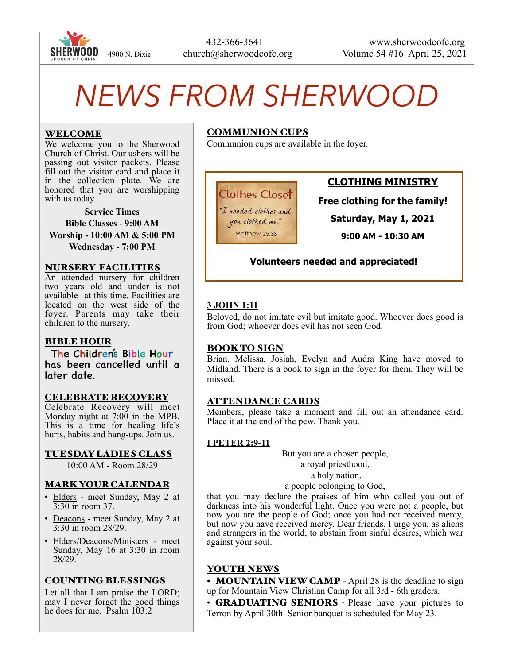

# *NEWS FROM SHERWOOD*

## WELCOME

We welcome you to the Sherwood Church of Christ. Our ushers will be passing out visitor packets. Please fill out the visitor card and place it in the collection plate. We are honored that you are worshipping with us today.

**Service Times Bible Classes - 9:00 AM Worship - 10:00 AM & 5:00 PM Wednesday - 7:00 PM** 

#### NURSERY FACILITIES

An attended nursery for children two years old and under is not available at this time. Facilities are located on the west side of the foyer. Parents may take their children to the nursery.

## BIBLE HOUR

The Children's Bible Hour has been cancelled until a later date.

#### CELEBRATE RECOVERY

Celebrate Recovery will meet Monday night at 7:00 in the MPB. This is a time for healing life's hurts, habits and hang-ups. Join us.

TUESDAY LADIES CLASS

10:00 AM - Room 28/29

#### MARK YOUR CALENDAR

- Elders meet Sunday, May 2 at 3:30 in room 37.
- Deacons meet Sunday, May 2 at 3:30 in room 28/29.
- Elders/Deacons/Ministers meet Sunday, May 16 at 3:30 in room 28/29.

## COUNTING BLESSINGS

Let all that I am praise the LORD; may I never forget the good things he does for me. Psalm  $103:2$ 

## COMMUNION CUPS

Communion cups are available in the foyer.

**Clothes Closet** "I needed clothes and

you clothed me." Matthew 25:38

# **CLOTHING MINISTRY**

**Free clothing for the family!** 

**Saturday, May 1, 2021** 

**9:00 AM - 10:30 AM** 

## **Volunteers needed and appreciated!**

## **3 JOHN 1:11**

Beloved, do not imitate evil but imitate good. Whoever does good is from God; whoever does evil has not seen God.

#### BOOK TO SIGN

Brian, Melissa, Josiah, Evelyn and Audra King have moved to Midland. There is a book to sign in the foyer for them. They will be missed.

## ATTENDANCE CARDS

Members, please take a moment and fill out an attendance card. Place it at the end of the pew. Thank you.

#### **I PETER 2:9-11**

But you are a chosen people, a royal priesthood, a holy nation, a people belonging to God,

that you may declare the praises of him who called you out of darkness into his wonderful light. Once you were not a people, but now you are the people of God; once you had not received mercy, but now you have received mercy. Dear friends, I urge you, as aliens and strangers in the world, to abstain from sinful desires, which war against your soul.

# YOUTH NEWS

• MOUNTAIN VIEW CAMP - April 28 is the deadline to sign up for Mountain View Christian Camp for all 3rd - 6th graders.

• **GRADUATING SENIORS** - Please have your pictures to Terron by April 30th. Senior banquet is scheduled for May 23.